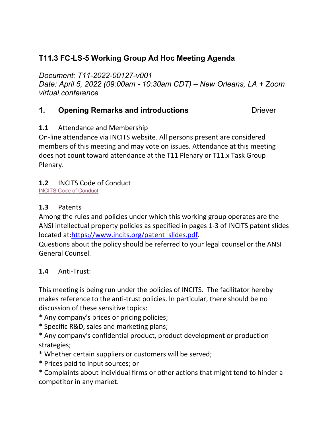# **T11.3 FC-LS-5 Working Group Ad Hoc Meeting Agenda**

*Document: T11-2022-00127-v001*

*Date: April 5, 2022 (09:00am - 10:30am CDT) – New Orleans, LA + Zoom virtual conference*

## **1. Opening Remarks and introductions The Convertion Convertision Convertision Convertision Convertision Convertision Convertision Convertision Convertision Convertision Convertision Convertision Convertision Convertision**

## **1.1** Attendance and Membership

On-line attendance via INCITS website. All persons present are considered members of this meeting and may vote on issues. Attendance at this meeting does not count toward attendance at the T11 Plenary or T11.x Task Group Plenary.

## **1.2** INCITS Code of Conduct

[INCITS Code of Conduct](https://standards.incits.org/apps/group_public/download.php/127632/eb-2021-00111-INCITS%20Code%20of%20Conduct.pdf)

## **1.3** Patents

Among the rules and policies under which this working group operates are the ANSI intellectual property policies as specified in pages 1-3 of INCITS patent slides located at[:https://www.incits.org/patent\\_slides.pdf.](https://www.incits.org/dotAsset/63b6e457-53b9-4933-9835-7c74e77ca2fd.pdf)

Questions about the policy should be referred to your legal counsel or the ANSI General Counsel.

#### **1.4** Anti-Trust:

This meeting is being run under the policies of INCITS. The facilitator hereby makes reference to the anti-trust policies. In particular, there should be no discussion of these sensitive topics:

- \* Any company's prices or pricing policies;
- \* Specific R&D, sales and marketing plans;
- \* Any company's confidential product, product development or production strategies;
- \* Whether certain suppliers or customers will be served;
- \* Prices paid to input sources; or
- \* Complaints about individual firms or other actions that might tend to hinder a competitor in any market.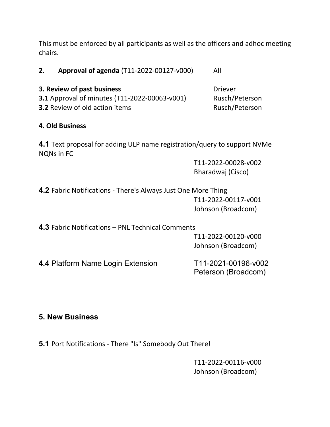This must be enforced by all participants as well as the officers and adhoc meeting chairs.

**2. Approval of agenda** (T11-2022-00127-v000) All

**3. Review of past business** Diever **3.1** Approval of minutes (T11-2022-00063-v001) Rusch/Peterson **3.2** Review of old action items Rusch/Peterson

## **4. Old Business**

**4.1** Text proposal for adding ULP name registration/query to support NVMe NQNs in FC

> T11-2022-00028-v002 Bharadwaj (Cisco)

**4.2** Fabric Notifications - There's Always Just One More Thing T11-2022-00117-v001 Johnson (Broadcom)

**4.3** Fabric Notifications – PNL Technical Comments

T11-2022-00120-v000 Johnson (Broadcom)

**4.4** Platform Name Login Extension T11-2021-00196-v002

Peterson (Broadcom)

## **5. New Business**

**5.1** Port Notifications - There "Is" Somebody Out There!

T11-2022-00116-v000 Johnson (Broadcom)